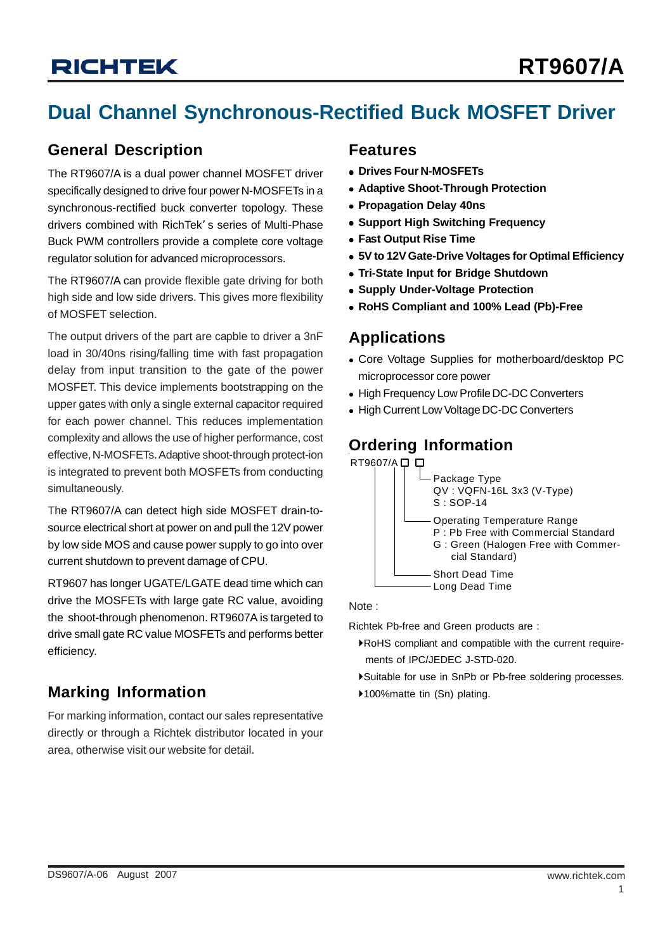# **RT9607/A**

## **Dual Channel Synchronous-Rectified Buck MOSFET Driver**

#### **General Description**

The RT9607/A is a dual power channel MOSFET driver specifically designed to drive four power N-MOSFETs in a synchronous-rectified buck converter topology. These drivers combined with RichTek' s series of Multi-Phase Buck PWM controllers provide a complete core voltage regulator solution for advanced microprocessors.

The RT9607/A can provide flexible gate driving for both high side and low side drivers. This gives more flexibility of MOSFET selection.

The output drivers of the part are capble to driver a 3nF load in 30/40ns rising/falling time with fast propagation delay from input transition to the gate of the power MOSFET. This device implements bootstrapping on the upper gates with only a single external capacitor required for each power channel. This reduces implementation complexity and allows the use of higher performance, cost effective, N-MOSFETs. Adaptive shoot-through protect-ion is integrated to prevent both MOSFETs from conducting simultaneously.

The RT9607/A can detect high side MOSFET drain-tosource electrical short at power on and pull the 12V power by low side MOS and cause power supply to go into over current shutdown to prevent damage of CPU.

RT9607 has longer UGATE/LGATE dead time which can drive the MOSFETs with large gate RC value, avoiding the shoot-through phenomenon. RT9607A is targeted to drive small gate RC value MOSFETs and performs better efficiency.

### **Marking Information**  $\uparrow$  100% matte tin (Sn) plating.

For marking information, contact our sales representative directly or through a Richtek distributor located in your area, otherwise visit our website for detail.

#### **Features**

- **Drives Four N-MOSFETs**
- **Adaptive Shoot-Through Protection**
- **Propagation Delay 40ns**
- **Support High Switching Frequency**
- **Fast Output Rise Time**
- <sup>z</sup> **5V to 12V Gate-Drive Voltages for Optimal Efficiency**
- **Tri-State Input for Bridge Shutdown**
- **Supply Under-Voltage Protection**
- <sup>z</sup> **RoHS Compliant and 100% Lead (Pb)-Free**

#### **Applications**

- Core Voltage Supplies for motherboard/desktop PC microprocessor core power
- High Frequency Low Profile DC-DC Converters
- High Current Low Voltage DC-DC Converters

## **Ordering Information**



#### Note :

Richtek Pb-free and Green products are :

- `RoHS compliant and compatible with the current require ments of IPC/JEDEC J-STD-020.
- `Suitable for use in SnPb or Pb-free soldering processes.
-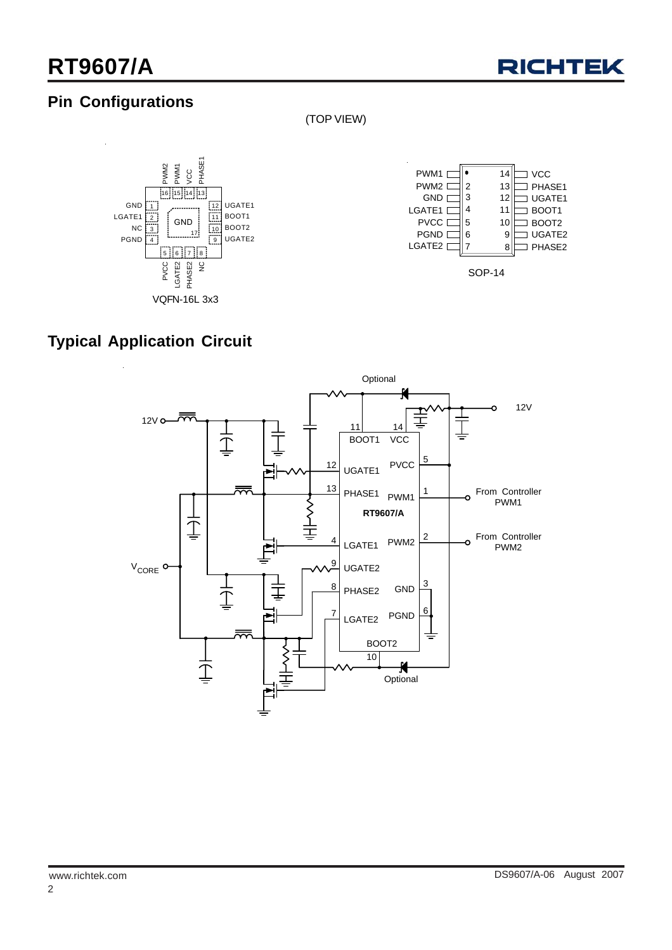

## **Pin Configurations**

(TOP VIEW)







## **Typical Application Circuit**

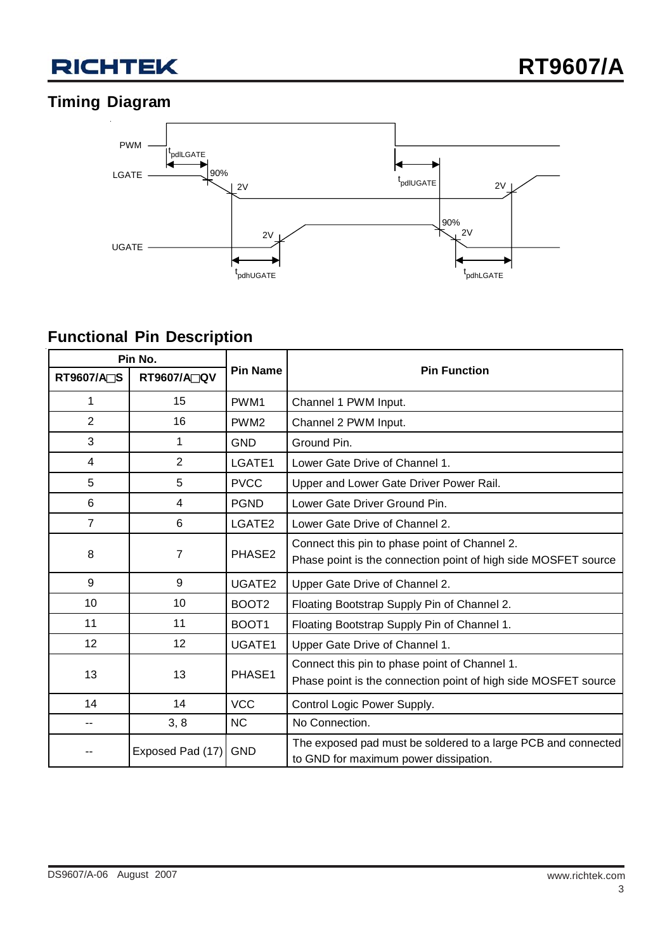

## **Timing Diagram**



## **Functional Pin Description**

| Pin No.           |                    |                   |                                                                                                                 |  |
|-------------------|--------------------|-------------------|-----------------------------------------------------------------------------------------------------------------|--|
| <b>RT9607/A∏S</b> | <b>RT9607/A∏QV</b> | <b>Pin Name</b>   | <b>Pin Function</b>                                                                                             |  |
| 1                 | 15                 | PWM1              | Channel 1 PWM Input.                                                                                            |  |
| $\overline{2}$    | 16                 | PWM <sub>2</sub>  | Channel 2 PWM Input.                                                                                            |  |
| 3                 | 1                  | <b>GND</b>        | Ground Pin.                                                                                                     |  |
| 4                 | $\overline{2}$     | LGATE1            | Lower Gate Drive of Channel 1.                                                                                  |  |
| 5                 | 5                  | <b>PVCC</b>       | Upper and Lower Gate Driver Power Rail.                                                                         |  |
| 6                 | 4                  | <b>PGND</b>       | Lower Gate Driver Ground Pin.                                                                                   |  |
| $\overline{7}$    | 6                  | LGATE2            | Lower Gate Drive of Channel 2.                                                                                  |  |
| 8                 | 7                  | PHASE2            | Connect this pin to phase point of Channel 2.<br>Phase point is the connection point of high side MOSFET source |  |
| 9                 | 9                  | UGATE2            | Upper Gate Drive of Channel 2.                                                                                  |  |
| 10                | 10                 | BOOT <sub>2</sub> | Floating Bootstrap Supply Pin of Channel 2.                                                                     |  |
| 11                | 11                 | BOOT1             | Floating Bootstrap Supply Pin of Channel 1.                                                                     |  |
| 12                | 12                 | UGATE1            | Upper Gate Drive of Channel 1.                                                                                  |  |
| 13                | 13                 | PHASE1            | Connect this pin to phase point of Channel 1.<br>Phase point is the connection point of high side MOSFET source |  |
| 14                | 14                 | <b>VCC</b>        | Control Logic Power Supply.                                                                                     |  |
|                   | 3, 8               | <b>NC</b>         | No Connection.                                                                                                  |  |
|                   | Exposed Pad (17)   | <b>GND</b>        | The exposed pad must be soldered to a large PCB and connected<br>to GND for maximum power dissipation.          |  |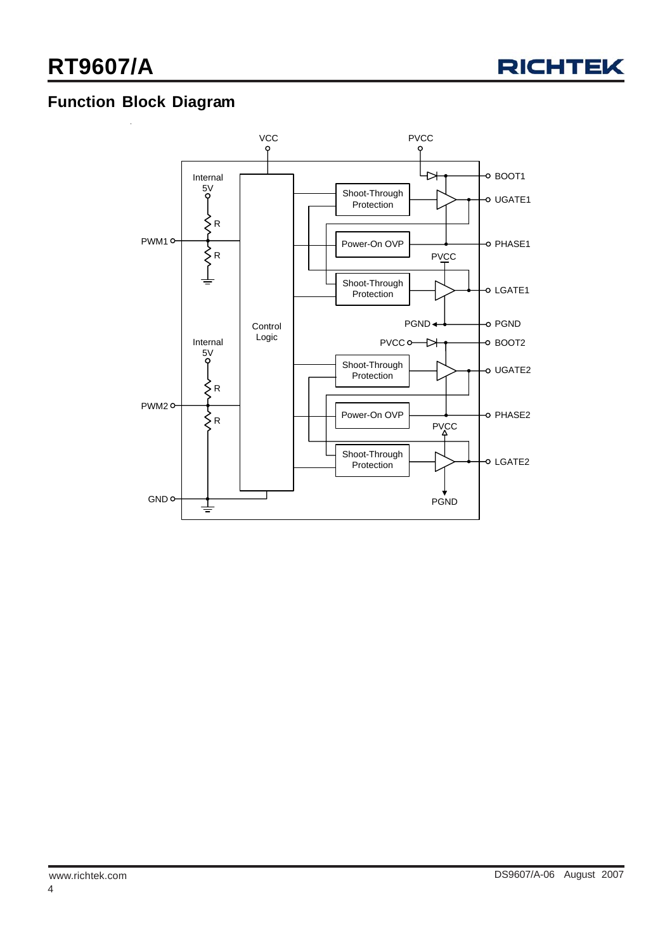

## **Function Block Diagram**

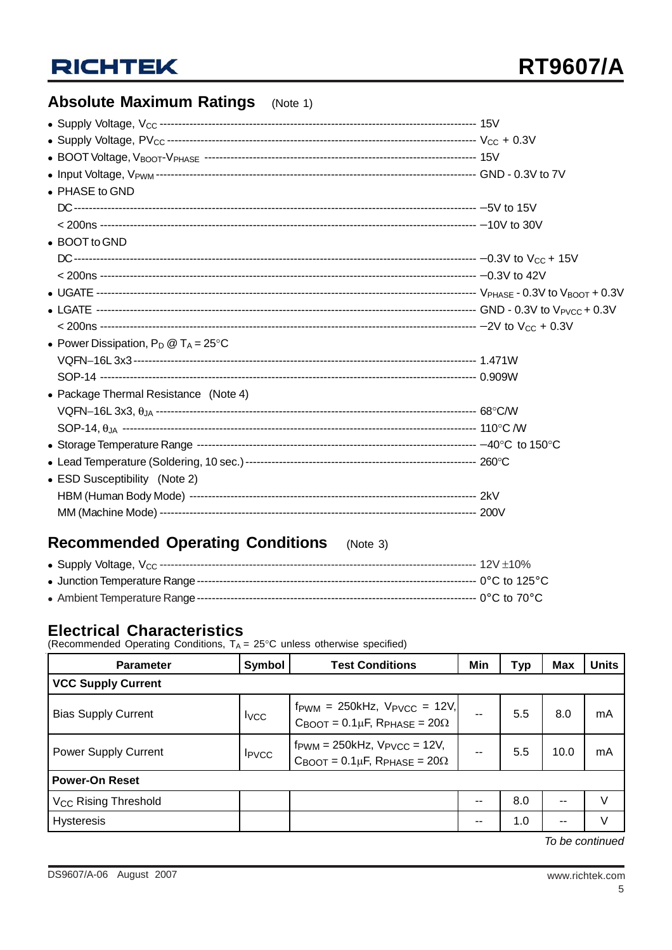## **Absolute Maximum Ratings** (Note 1)

| • PHASE to GND                                 |  |
|------------------------------------------------|--|
|                                                |  |
|                                                |  |
| • BOOT to GND                                  |  |
|                                                |  |
|                                                |  |
|                                                |  |
|                                                |  |
|                                                |  |
| • Power Dissipation, $P_D @ T_A = 25^{\circ}C$ |  |
|                                                |  |
|                                                |  |
| • Package Thermal Resistance (Note 4)          |  |
|                                                |  |
|                                                |  |
|                                                |  |
|                                                |  |
| • ESD Susceptibility (Note 2)                  |  |
|                                                |  |
|                                                |  |

## **Recommended Operating Conditions** (Note 3)

#### **Electrical Characteristics**

(Recommended Operating Conditions,  $T_A = 25^{\circ}$ C unless otherwise specified)

| <b>Parameter</b>                                                                                                                                                                            | Symbol<br><b>Test Conditions</b> |                                                                                                                         | Min | <b>Typ</b> | <b>Max</b> | <b>Units</b> |  |  |
|---------------------------------------------------------------------------------------------------------------------------------------------------------------------------------------------|----------------------------------|-------------------------------------------------------------------------------------------------------------------------|-----|------------|------------|--------------|--|--|
| <b>VCC Supply Current</b>                                                                                                                                                                   |                                  |                                                                                                                         |     |            |            |              |  |  |
| <b>Bias Supply Current</b>                                                                                                                                                                  | <b>I</b> <sub>vcc</sub>          | $f_{\text{PWM}} = 250kHz$ , $V_{\text{PVCC}} = 12V$ ,<br>$C_{\text{BOOT}} = 0.1 \mu F$ , $R_{\text{PHASE}} = 20 \Omega$ | --  | 5.5        | 8.0        | mA           |  |  |
| $f_{\text{PWM}} = 250 \text{kHz}$ , $V_{\text{PVCC}} = 12 \text{V}$ ,<br><b>Power Supply Current</b><br>$I_{\text{PVCC}}$<br>$C_{\text{BOOT}} = 0.1 \mu F$ , $R_{\text{PHASE}} = 20 \Omega$ |                                  |                                                                                                                         | 5.5 | 10.0       | mA         |              |  |  |
| <b>Power-On Reset</b>                                                                                                                                                                       |                                  |                                                                                                                         |     |            |            |              |  |  |
| V <sub>CC</sub> Rising Threshold                                                                                                                                                            |                                  |                                                                                                                         | --  | 8.0        | $-$        |              |  |  |
| <b>Hysteresis</b>                                                                                                                                                                           |                                  |                                                                                                                         | --  | 1.0        | $- -$      |              |  |  |
|                                                                                                                                                                                             |                                  |                                                                                                                         |     |            |            |              |  |  |

*To be continued*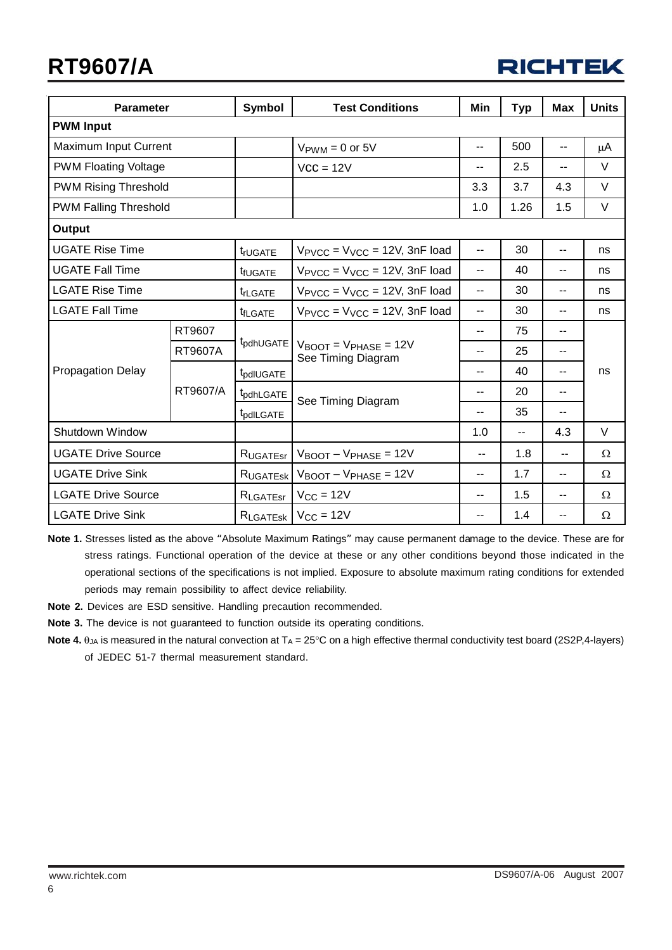# **RT9607/A**

| <b>RICHTEK</b> |  |
|----------------|--|
|----------------|--|

| <b>Parameter</b>             |                | Symbol                     | <b>Test Conditions</b>                                           | Min | <b>Typ</b> | <b>Max</b>               | <b>Units</b> |
|------------------------------|----------------|----------------------------|------------------------------------------------------------------|-----|------------|--------------------------|--------------|
| <b>PWM Input</b>             |                |                            |                                                                  |     |            |                          |              |
| Maximum Input Current        |                |                            | $V_{\text{PWM}} = 0$ or 5V                                       | --  | 500        | н.                       | μA           |
| <b>PWM Floating Voltage</b>  |                |                            | $VCC = 12V$                                                      | --  | 2.5        | $\overline{\phantom{a}}$ | V            |
| <b>PWM Rising Threshold</b>  |                |                            |                                                                  | 3.3 | 3.7        | 4.3                      | V            |
| <b>PWM Falling Threshold</b> |                |                            |                                                                  | 1.0 | 1.26       | 1.5                      | V            |
| <b>Output</b>                |                |                            |                                                                  |     |            |                          |              |
| <b>UGATE Rise Time</b>       |                | trUGATE                    | $V_{\text{PVCC}} = V_{\text{VCC}} = 12V$ , 3nF load              | --  | 30         | --                       | ns           |
| <b>UGATE Fall Time</b>       |                | t <sub>fUGATE</sub>        | $V_{\text{PVCC}} = V_{\text{VCC}} = 12V$ , 3nF load              | --  | 40         | $-$                      | ns           |
| <b>LGATE Rise Time</b>       |                | t <sub>rLGATE</sub>        | $V_{\text{PVCC}} = V_{\text{VCC}} = 12V$ , 3nF load              | --  | 30         | --                       | ns           |
| <b>LGATE Fall Time</b>       |                | <b>t</b> <sub>fLGATE</sub> | $V_{\text{PVCC}} = V_{\text{VCC}} = 12V$ , 3nF load              | --  | 30         | --                       | ns           |
|                              | RT9607         |                            |                                                                  | --  | 75         | --                       | ns           |
|                              | <b>RT9607A</b> | t <sub>pdhUGATE</sub>      | $V_{\text{BOOT}} = V_{\text{PHASE}} = 12V$<br>See Timing Diagram | --  | 25         | $-$                      |              |
| Propagation Delay            | RT9607/A       | t <sub>pdIUGATE</sub>      |                                                                  | --  | 40         | --                       |              |
|                              |                | t <sub>pdhLGATE</sub>      |                                                                  | $-$ | 20         | $-$                      |              |
|                              |                | t <sub>pdlLGATE</sub>      | See Timing Diagram                                               | --  | 35         | $-$                      |              |
| Shutdown Window              |                |                            |                                                                  | 1.0 | $-$        | 4.3                      | V            |
| <b>UGATE Drive Source</b>    |                | RUGATEST                   | $V_{\text{BOOT}} - V_{\text{PHASE}} = 12V$                       | $-$ | 1.8        | $-$                      | Ω            |
| <b>UGATE Drive Sink</b>      |                |                            | $R_{UGATESk}$ $V_{BOOT}$ – $V_{PHASE}$ = 12V                     | $-$ | 1.7        | $-$                      | $\Omega$     |
| <b>LGATE Drive Source</b>    |                |                            | $R_{LGATEsr}$   $V_{CC}$ = 12V                                   | --  | 1.5        | --                       | Ω            |
| <b>LGATE Drive Sink</b>      |                |                            | $R_{LGATEsk}$   $V_{CC}$ = 12V                                   | --  | 1.4        | --                       | Ω            |

**Note 1.** Stresses listed as the above "Absolute Maximum Ratings" may cause permanent damage to the device. These are for stress ratings. Functional operation of the device at these or any other conditions beyond those indicated in the operational sections of the specifications is not implied. Exposure to absolute maximum rating conditions for extended periods may remain possibility to affect device reliability.

**Note 2.** Devices are ESD sensitive. Handling precaution recommended.

**Note 3.** The device is not guaranteed to function outside its operating conditions.

**Note 4.** θ<sub>JA</sub> is measured in the natural convection at T<sub>A</sub> = 25°C on a high effective thermal conductivity test board (2S2P,4-layers) of JEDEC 51-7 thermal measurement standard.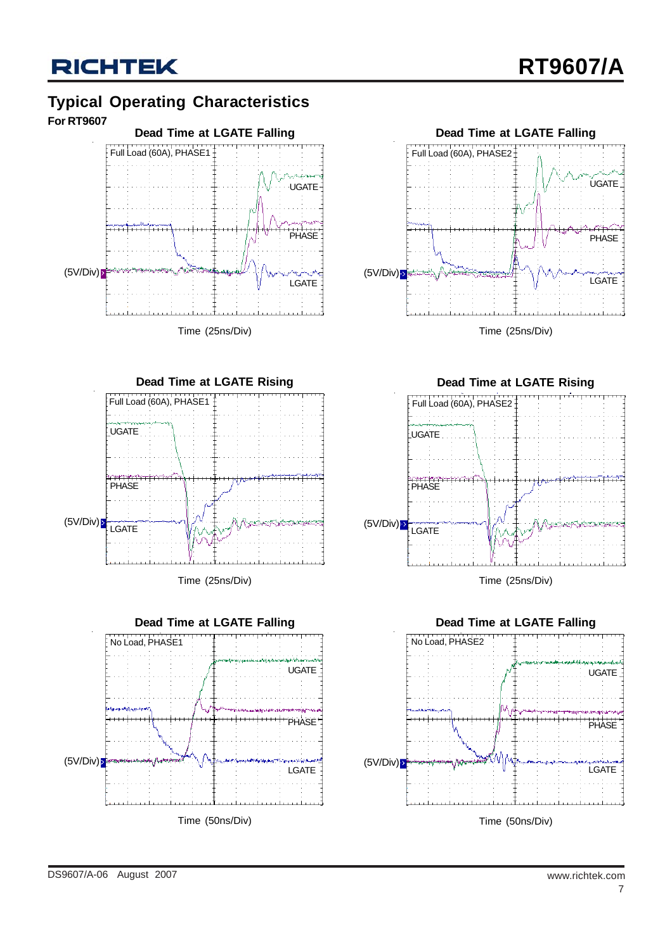#### **Typical Operating Characteristics For RT9607**













Time (25ns/Div)



Time (50ns/Div)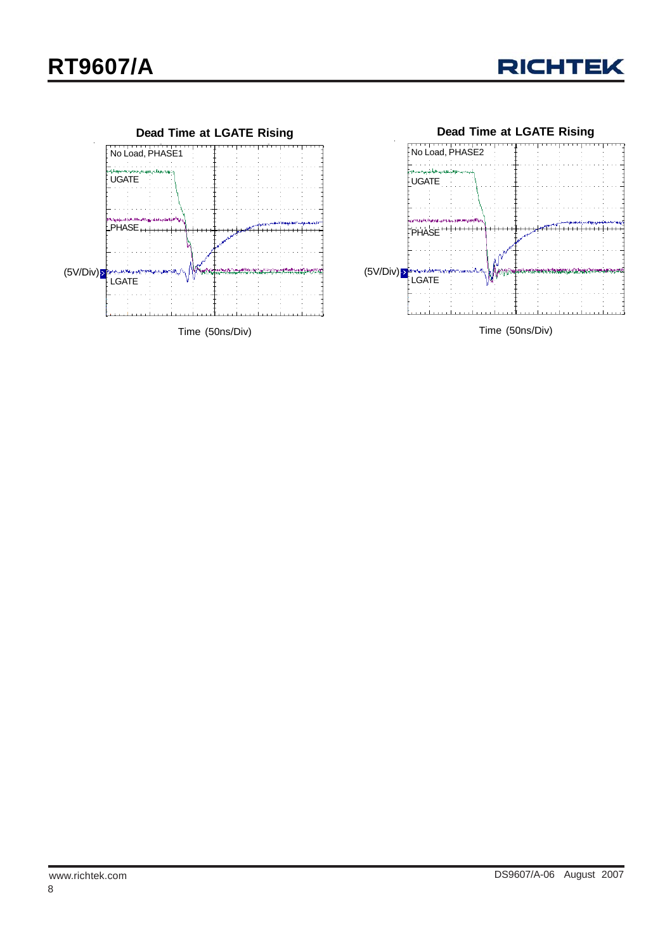

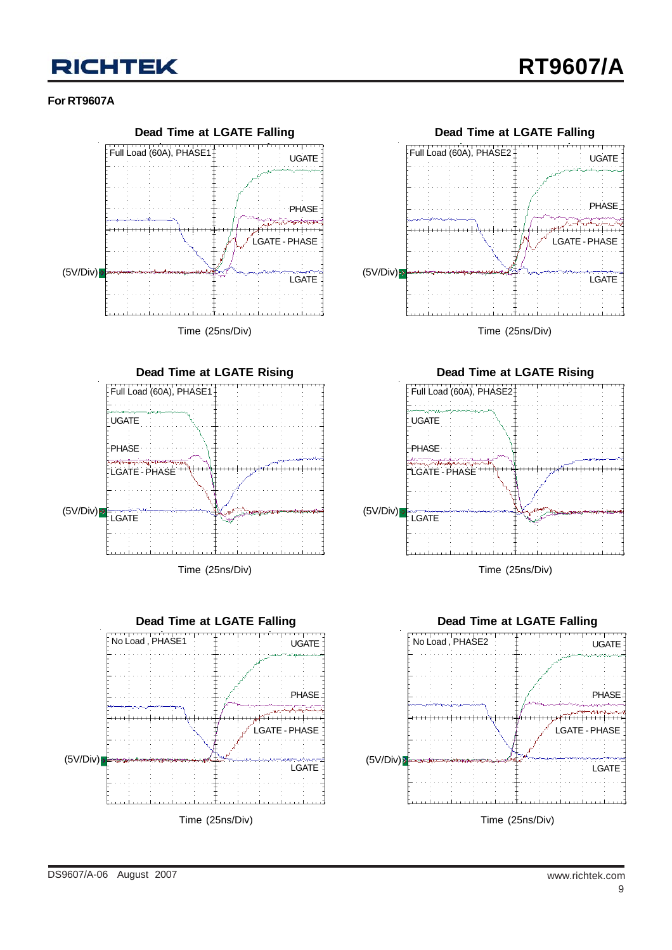#### **For RT9607A**





Time (25ns/Div)







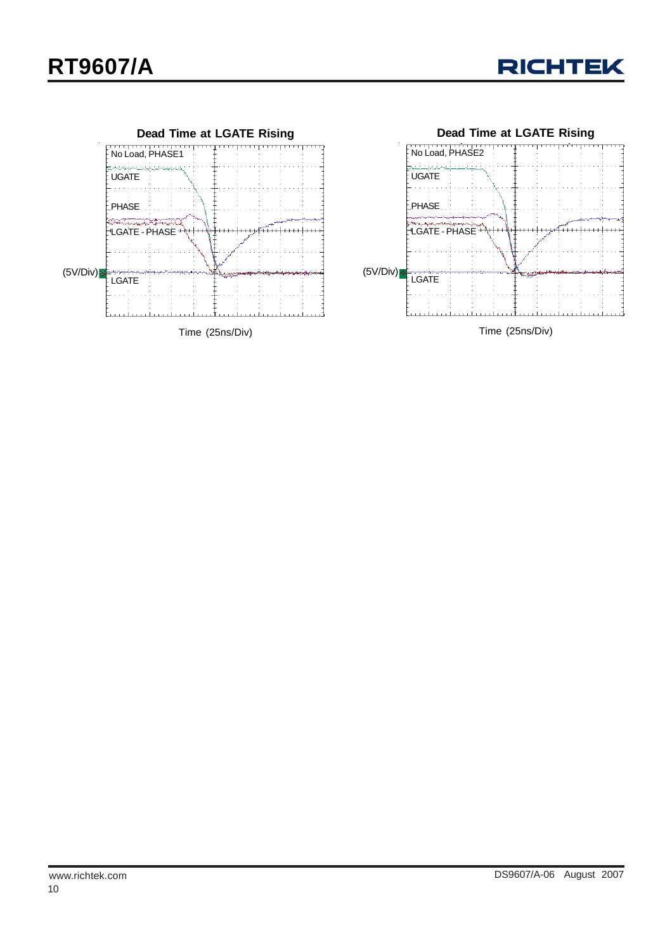

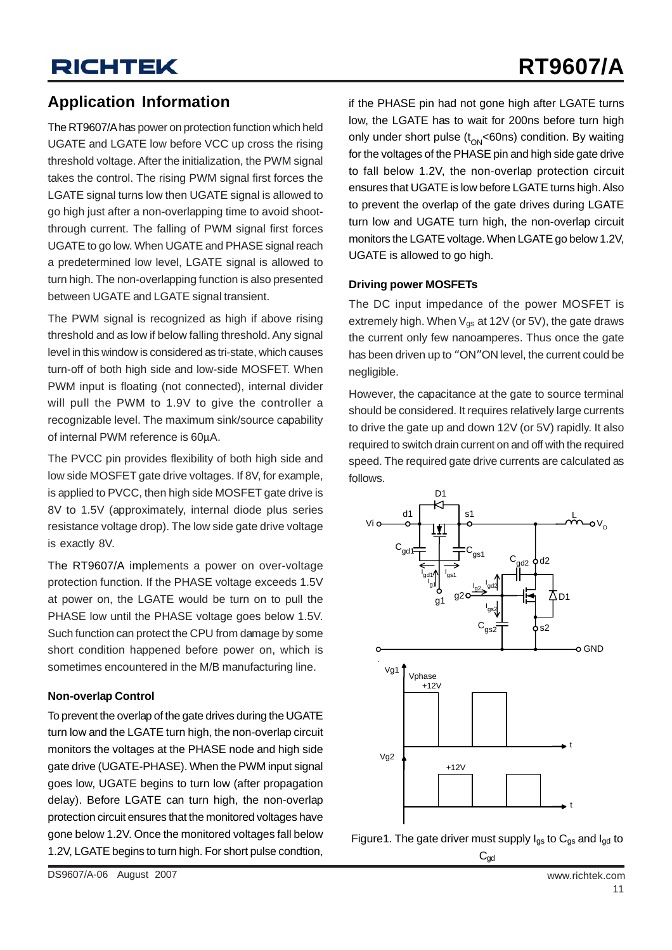### **Application Information**

The RT9607/A has power on protection function which held UGATE and LGATE low before VCC up cross the rising threshold voltage. After the initialization, the PWM signal takes the control. The rising PWM signal first forces the LGATE signal turns low then UGATE signal is allowed to go high just after a non-overlapping time to avoid shootthrough current. The falling of PWM signal first forces UGATE to go low. When UGATE and PHASE signal reach a predetermined low level, LGATE signal is allowed to turn high. The non-overlapping function is also presented between UGATE and LGATE signal transient.

The PWM signal is recognized as high if above rising threshold and as low if below falling threshold. Any signal level in this window is considered as tri-state, which causes turn-off of both high side and low-side MOSFET. When PWM input is floating (not connected), internal divider will pull the PWM to 1.9V to give the controller a recognizable level. The maximum sink/source capability of internal PWM reference is 60μA.

The PVCC pin provides flexibility of both high side and low side MOSFET gate drive voltages. If 8V, for example, is applied to PVCC, then high side MOSFET gate drive is 8V to 1.5V (approximately, internal diode plus series resistance voltage drop). The low side gate drive voltage is exactly 8V.

The RT9607/A implements a power on over-voltage protection function. If the PHASE voltage exceeds 1.5V at power on, the LGATE would be turn on to pull the PHASE low until the PHASE voltage goes below 1.5V. Such function can protect the CPU from damage by some short condition happened before power on, which is sometimes encountered in the M/B manufacturing line.

#### **Non-overlap Control**

To prevent the overlap of the gate drives during the UGATE turn low and the LGATE turn high, the non-overlap circuit monitors the voltages at the PHASE node and high side gate drive (UGATE-PHASE). When the PWM input signal goes low, UGATE begins to turn low (after propagation delay). Before LGATE can turn high, the non-overlap protection circuit ensures that the monitored voltages have gone below 1.2V. Once the monitored voltages fall below 1.2V, LGATE begins to turn high. For short pulse condtion, if the PHASE pin had not gone high after LGATE turns low, the LGATE has to wait for 200ns before turn high only under short pulse  $(t_{ON}$ <60ns) condition. By waiting for the voltages of the PHASE pin and high side gate drive to fall below 1.2V, the non-overlap protection circuit ensures that UGATE is low before LGATE turns high. Also to prevent the overlap of the gate drives during LGATE turn low and UGATE turn high, the non-overlap circuit monitors the LGATE voltage. When LGATE go below 1.2V, UGATE is allowed to go high.

#### **Driving power MOSFETs**

The DC input impedance of the power MOSFET is extremely high. When  $V_{qs}$  at 12V (or 5V), the gate draws the current only few nanoamperes. Thus once the gate has been driven up to "ON"ON level, the current could be negligible.

However, the capacitance at the gate to source terminal should be considered. It requires relatively large currents to drive the gate up and down 12V (or 5V) rapidly. It also required to switch drain current on and off with the required speed. The required gate drive currents are calculated as follows.





DS9607/A-06 August 2007 www.richtek.com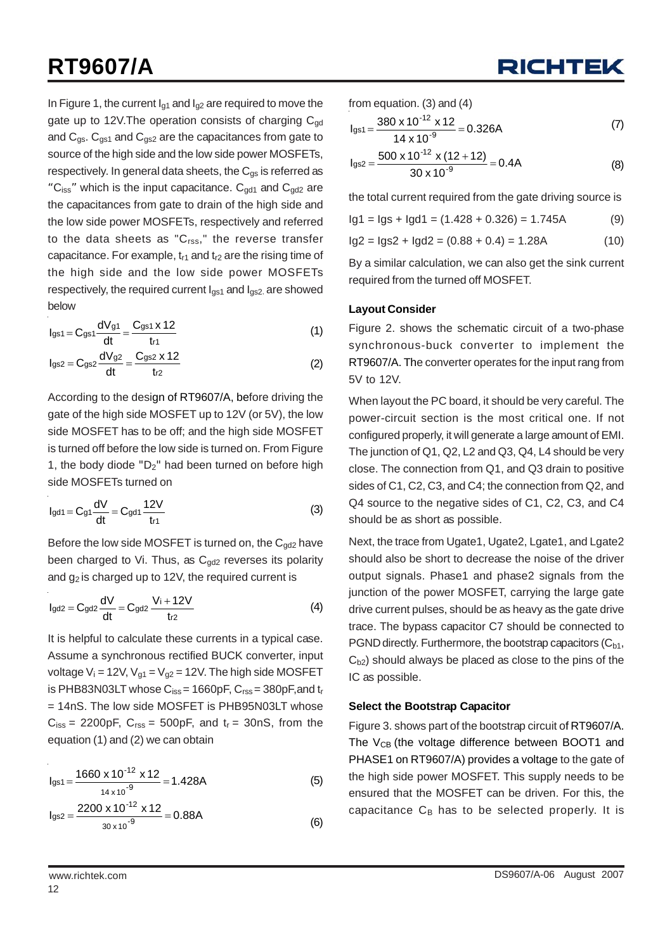In Figure 1, the current  $I_{q1}$  and  $I_{q2}$  are required to move the gate up to 12V. The operation consists of charging  $C_{\text{nd}}$ and  $C_{gs}$ .  $C_{gs1}$  and  $C_{gs2}$  are the capacitances from gate to source of the high side and the low side power MOSFETs, respectively. In general data sheets, the  $C_{\text{gs}}$  is referred as "C<sub>iss</sub>" which is the input capacitance.  $C_{\alpha d1}$  and  $C_{\alpha d2}$  are the capacitances from gate to drain of the high side and the low side power MOSFETs, respectively and referred to the data sheets as " $C_{rss}$ ," the reverse transfer capacitance. For example,  $t_{r1}$  and  $t_{r2}$  are the rising time of the high side and the low side power MOSFETs respectively, the required current  $I_{gs1}$  and  $I_{gs2}$ , are showed below

$$
I_{gs1} = C_{gs1} \frac{dV_{g1}}{dt} = \frac{C_{gs1} \times 12}{tr1}
$$
 (1)

$$
I_{gs2} = C_{gs2} \frac{dV_{g2}}{dt} = \frac{C_{gs2} \times 12}{tr_2}
$$
 (2)

According to the design of RT9607/A, before driving the gate of the high side MOSFET up to 12V (or 5V), the low side MOSFET has to be off; and the high side MOSFET is turned off before the low side is turned on. From Figure 1, the body diode " $D_2$ " had been turned on before high side MOSFETs turned on

$$
I_{gd1} = C_{g1} \frac{dV}{dt} = C_{gd1} \frac{12V}{t_{r1}}
$$
 (3)

Before the low side MOSFET is turned on, the  $C_{gd2}$  have been charged to Vi. Thus, as  $C_{gd2}$  reverses its polarity and  $g_2$  is charged up to 12V, the required current is

$$
I_{gd2}=C_{gd2}\frac{dV}{dt}=C_{gd2}\frac{V_i+12V}{tr_2}
$$
\n(4)

It is helpful to calculate these currents in a typical case. Assume a synchronous rectified BUCK converter, input voltage  $V_i = 12V$ ,  $V_{q1} = V_{q2} = 12V$ . The high side MOSFET is PHB83N03LT whose  $C_{iss}$  = 1660pF,  $C_{rss}$  = 380pF, and  $t_r$ = 14nS. The low side MOSFET is PHB95N03LT whose  $C_{iss}$  = 2200pF,  $C_{rss}$  = 500pF, and  $t_r$  = 30nS, from the equation (1) and (2) we can obtain

$$
I_{gs1} = \frac{1660 \times 10^{-12} \times 12}{14 \times 10^{-9}} = 1.428A
$$
 (5)

$$
I_{gs2} = \frac{2200 \times 10^{-12} \times 12}{30 \times 10^{-9}} = 0.88A
$$
 (6)



from equation. (3) and (4)

$$
I_{gs1} = \frac{380 \times 10^{-12} \times 12}{14 \times 10^{-9}} = 0.326A
$$
 (7)

$$
I_{gs2} = \frac{500 \times 10^{-12} \times (12 + 12)}{30 \times 10^{-9}} = 0.4A
$$
 (8)

the total current required from the gate driving source is

$$
lg1 = lgs + lg1 = (1.428 + 0.326) = 1.745A
$$
 (9)

$$
lg2 = lg2 + lg42 = (0.88 + 0.4) = 1.28A
$$
 (10)

By a similar calculation, we can also get the sink current required from the turned off MOSFET.

#### **Layout Consider**

Figure 2. shows the schematic circuit of a two-phase synchronous-buck converter to implement the RT9607/A. The converter operates for the input rang from 5V to 12V.

When layout the PC board, it should be very careful. The power-circuit section is the most critical one. If not configured properly, it will generate a large amount of EMI. The junction of Q1, Q2, L2 and Q3, Q4, L4 should be very close. The connection from Q1, and Q3 drain to positive sides of C1, C2, C3, and C4; the connection from Q2, and Q4 source to the negative sides of C1, C2, C3, and C4 should be as short as possible.

Next, the trace from Ugate1, Ugate2, Lgate1, and Lgate2 should also be short to decrease the noise of the driver output signals. Phase1 and phase2 signals from the junction of the power MOSFET, carrying the large gate drive current pulses, should be as heavy as the gate drive trace. The bypass capacitor C7 should be connected to PGND directly. Furthermore, the bootstrap capacitors  $(C_{b1},$  $C<sub>b2</sub>$ ) should always be placed as close to the pins of the IC as possible.

#### **Select the Bootstrap Capacitor**

Figure 3. shows part of the bootstrap circuit of RT9607/A. The  $V_{CB}$  (the voltage difference between BOOT1 and PHASE1 on RT9607/A) provides a voltage to the gate of the high side power MOSFET. This supply needs to be ensured that the MOSFET can be driven. For this, the capacitance  $C_B$  has to be selected properly. It is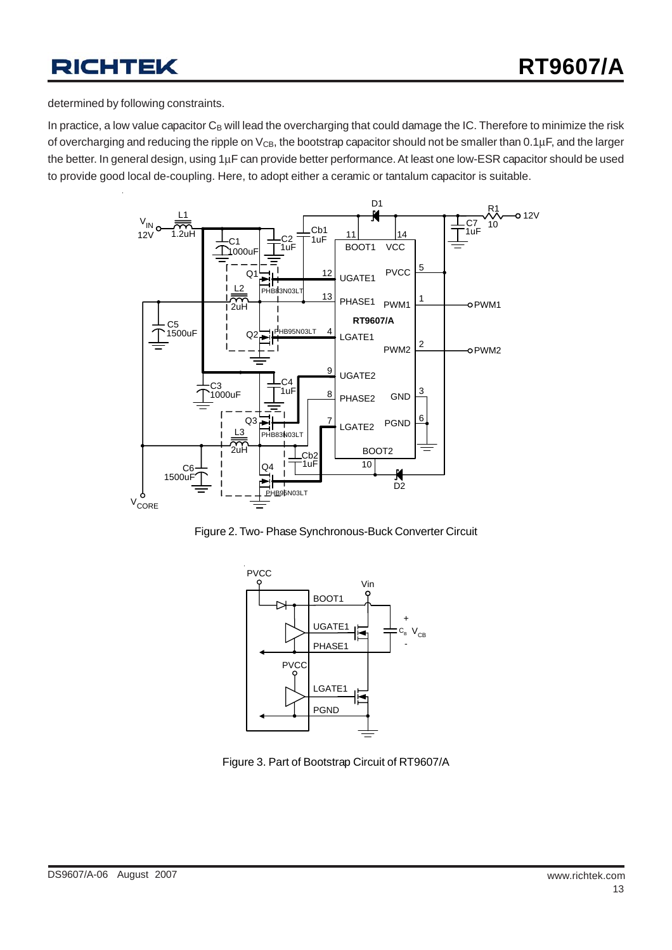determined by following constraints.

In practice, a low value capacitor  $C_B$  will lead the overcharging that could damage the IC. Therefore to minimize the risk of overcharging and reducing the ripple on  $V_{CB}$ , the bootstrap capacitor should not be smaller than 0.1 $\mu$ F, and the larger the better. In general design, using 1μF can provide better performance. At least one low-ESR capacitor should be used to provide good local de-coupling. Here, to adopt either a ceramic or tantalum capacitor is suitable.







Figure 3. Part of Bootstrap Circuit of RT9607/A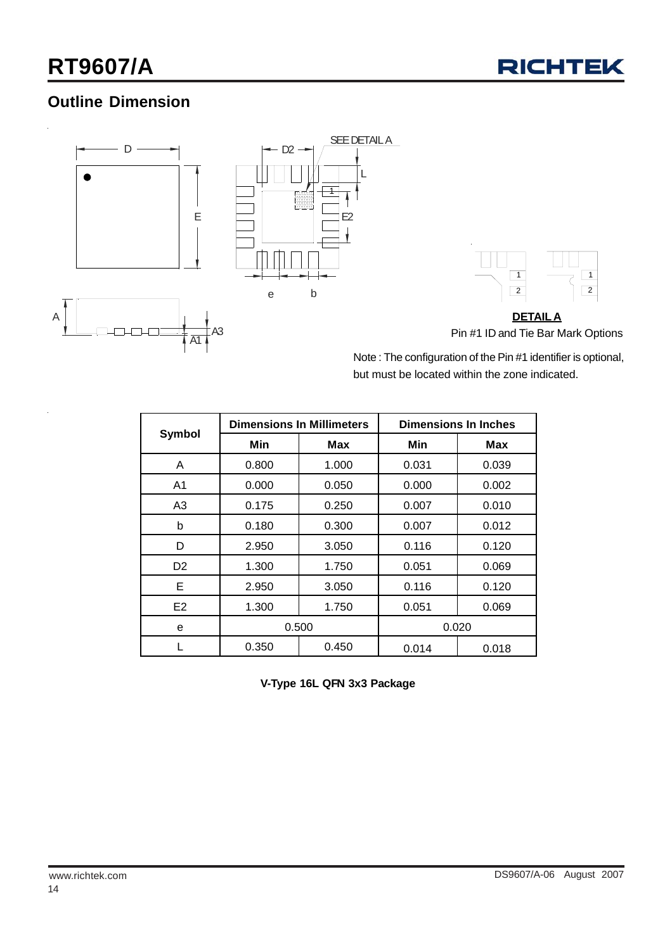## **Outline Dimension**



Note : The configuration of the Pin #1 identifier is optional, but must be located within the zone indicated.

|                |       | <b>Dimensions In Millimeters</b> | <b>Dimensions In Inches</b> |       |  |
|----------------|-------|----------------------------------|-----------------------------|-------|--|
| Symbol         | Min   | <b>Max</b>                       | Min                         | Max   |  |
| A              | 0.800 | 1.000                            | 0.031                       | 0.039 |  |
| A <sub>1</sub> | 0.000 | 0.050                            | 0.000                       | 0.002 |  |
| A <sub>3</sub> | 0.175 | 0.250                            | 0.007                       | 0.010 |  |
| b              | 0.180 | 0.300                            | 0.007                       | 0.012 |  |
| D              | 2.950 | 3.050                            | 0.116                       | 0.120 |  |
| D <sub>2</sub> | 1.300 | 1.750                            | 0.051                       | 0.069 |  |
| Е              | 2.950 | 3.050                            | 0.116                       | 0.120 |  |
| E2             | 1.300 | 1.750                            | 0.051                       | 0.069 |  |
| е              | 0.500 |                                  | 0.020                       |       |  |
|                | 0.350 | 0.450                            | 0.014                       | 0.018 |  |

**V-Type 16L QFN 3x3 Package**